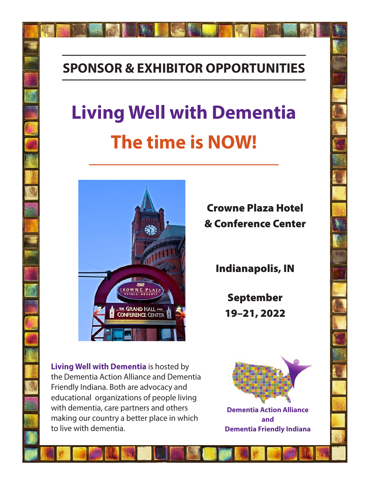# **SPONSOR & EXHIBITOR OPPORTUNITIES \_\_\_\_\_\_\_\_\_\_\_\_\_\_\_\_\_\_\_\_\_\_\_\_\_\_\_**

**\_\_\_\_\_\_\_\_\_\_\_\_\_\_\_\_\_\_\_\_\_\_\_\_\_\_\_**

# **Living Well with Dementia The time is NOW! \_\_\_\_\_\_\_\_\_\_\_\_\_\_\_\_\_\_\_\_\_**



Crowne Plaza Hotel & Conference Center

Indianapolis, IN

September 19–21, 2022

**Living Well with Dementia** is hosted by the Dementia Action Alliance and Dementia Friendly Indiana. Both are advocacy and educational organizations of people living with dementia, care partners and others making our country a better place in which to live with dementia.



**Dementia Action Alliance and Dementia Friendly Indiana**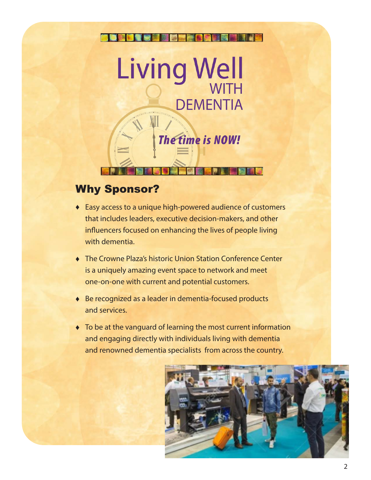

# Why Sponsor?

- ♦ Easy access to a unique high-powered audience of customers that includes leaders, executive decision-makers, and other influencers focused on enhancing the lives of people living with dementia.
- ♦ The Crowne Plaza's historic Union Station Conference Center is a uniquely amazing event space to network and meet one-on-one with current and potential customers.
- ♦ Be recognized as a leader in dementia-focused products and services.
- ♦ To be at the vanguard of learning the most current information and engaging directly with individuals living with dementia and renowned dementia specialists from across the country.

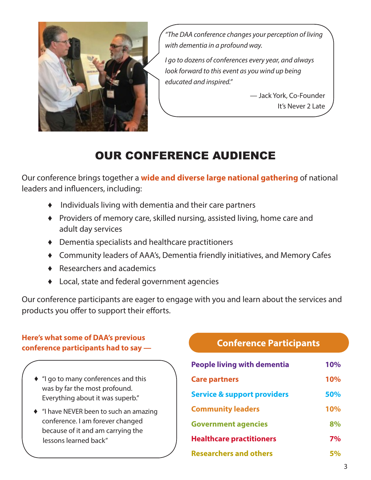

*"The DAA conference changes your perception of living with dementia in a profound way.*

*I go to dozens of conferences every year, and always look forward to this event as you wind up being educated and inspired."*

> — Jack York, Co-Founder It's Never 2 Late

# OUR CONFERENCE AUDIENCE

Our conference brings together a **wide and diverse large national gathering** of national leaders and influencers, including:

- ♦Individuals living with dementia and their care partners
- ♦ Providers of memory care, skilled nursing, assisted living, home care and adult day services
- ♦ Dementia specialists and healthcare practitioners
- ♦ Community leaders of AAA's, Dementia friendly initiatives, and Memory Cafes
- ♦ Researchers and academics
- ♦ Local, state and federal government agencies

Our conference participants are eager to engage with you and learn about the services and products you offer to support their efforts.

# **Here's what some of DAA's previous conference participants had to say — Conference Participants**

- ♦ "I go to many conferences and this was by far the most profound. Everything about it was superb."
- ♦ "I have NEVER been to such an amazing conference. I am forever changed because of it and am carrying the lessons learned back"

| <b>People living with dementia</b>     | <b>10%</b> |
|----------------------------------------|------------|
| <b>Care partners</b>                   | <b>10%</b> |
| <b>Service &amp; support providers</b> | 50%        |
| <b>Community leaders</b>               | <b>10%</b> |
| <b>Government agencies</b>             | 8%         |
| <b>Healthcare practitioners</b>        | 7%         |
| <b>Researchers and others</b>          |            |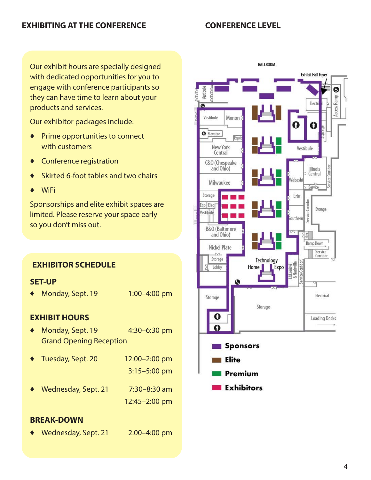Our exhibit hours are specially designed with dedicated opportunities for you to engage with conference participants so they can have time to learn about your products and services.

Our exhibitor packages include:

- ♦ Prime opportunities to connect with customers
- ♦ Conference registration
- ♦ Skirted 6-foot tables and two chairs
- ♦ WiFi

Sponsorships and elite exhibit spaces are limited. Please reserve your space early so you don't miss out.

# **EXHIBITOR SCHEDULE**

# **SET-UP**

◆ Monday, Sept. 19 1:00-4:00 pm

# **EXHIBIT HOURS**

♦ Monday, Sept. 19 4:30–6:30 pm Grand Opening Reception

|           | ◆ Tuesday, Sept. 20 | 12:00-2:00 pm    |
|-----------|---------------------|------------------|
|           |                     | $3:15 - 5:00$ pm |
| $\bullet$ | Wednesday, Sept. 21 | 7:30-8:30 am     |
|           |                     | 12:45-2:00 pm    |

# **BREAK-DOWN**

♦ Wednesday, Sept. 21 2:00–4:00 pm

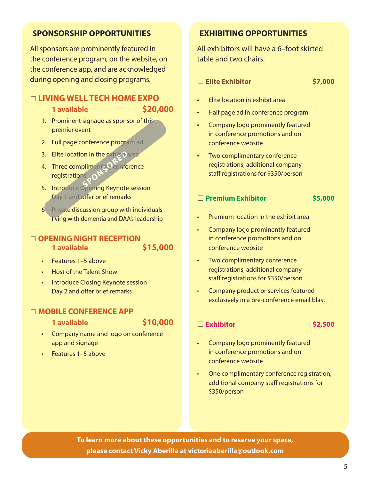# **SPONSORSHIP OPPORTUNITIES**

All sponsors are prominently featured in the conference program, on the website, on the conference app, and are acknowledged during opening and closing programs.

# □ LIVING WELL TECH HOME EXPO

**1 available \$20,000**

- 1. Prominent signage as sponsor of this premier event
- 2. Full page conference program ad
- 3. Elite location in the exhibit area
- 4. Three complimentary conference **registrations Spot in the exhibit.**<br>
Spot in the property of the property<br>
Section Keypote
- 5. Introduce Opening Keynote session Day 1 and offer brief remarks
- 6 Private discussion group with individuals living with dementia and DAA's leadership

# **□ OPENING NIGHT RECEPTION 1 available \$15,000**

- Features 1–5 above
- Host of the Talent Show
- Introduce Closing Keynote session Day 2 and offer brief remarks

# □ **MOBILE CONFERENCE APP**

**1 available \$10,000**

- Company name and logo on conference app and signage
- Features 1–5 above

# **EXHIBITING OPPORTUNITIES**

All exhibitors will have a 6–foot skirted table and two chairs.

### \* **Elite Exhibitor \$7,000**

- Elite location in exhibit area
- Half page ad in conference program
- Company logo prominently featured in conference promotions and on conference website
- Two complimentary conference registrations; additional company staff registrations for \$350/person

■ **Premium Exhibitor \$5,000** 

- Premium location in the exhibit area
- Company logo prominently featured in conference promotions and on conference website
- Two complimentary conference registrations; additional company staff registrations for \$350/person
- Company product or services featured exclusively in a pre-conference email blast

### ■ Exhibitor **\$2,500**

- Company logo prominently featured in conference promotions and on conference website
- One complimentary conference registration; additional company staff registrations for \$350/person

**To learn more about these opportunities and to reserve your space, please contact Vicky Aberilla at victoriaaberilla@outlook.com**